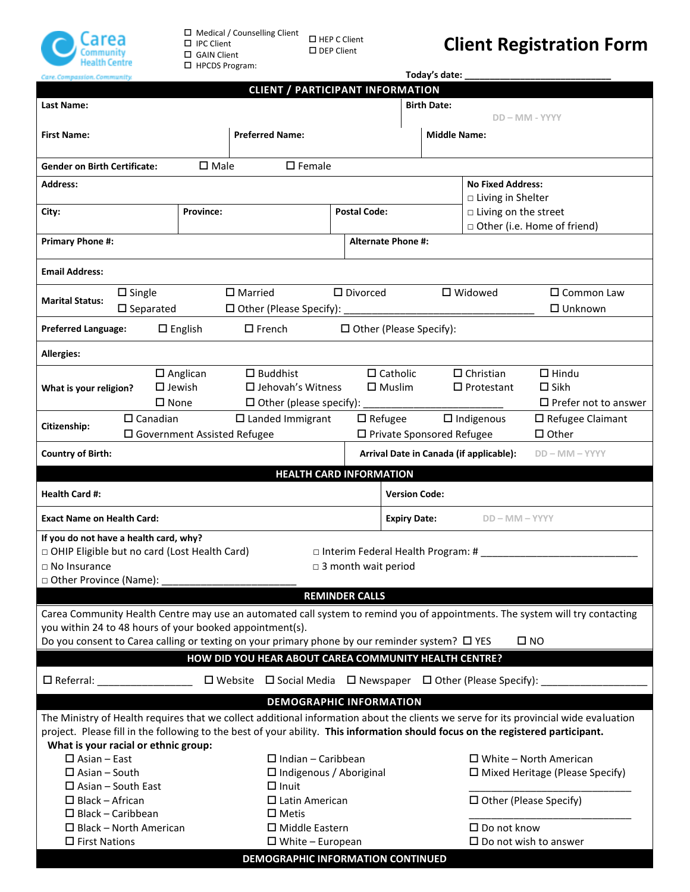

 $\square$  Medical / Counselling Client  $\Box$  IPC Client GAIN Client HPCDS Program:

 $\square$  HEP C Client  $\Box$  DEP Client

## **Client Registration Form**

| Care. Compassion. Community.                                                                                                                                                                                                                                            | Today's date:                          |                                                                                    |                                     |                                  |                             |                                       |                                        |  |  |  |  |
|-------------------------------------------------------------------------------------------------------------------------------------------------------------------------------------------------------------------------------------------------------------------------|----------------------------------------|------------------------------------------------------------------------------------|-------------------------------------|----------------------------------|-----------------------------|---------------------------------------|----------------------------------------|--|--|--|--|
| <b>CLIENT / PARTICIPANT INFORMATION</b>                                                                                                                                                                                                                                 |                                        |                                                                                    |                                     |                                  |                             |                                       |                                        |  |  |  |  |
| Last Name:                                                                                                                                                                                                                                                              |                                        | <b>Birth Date:</b>                                                                 |                                     |                                  |                             |                                       |                                        |  |  |  |  |
|                                                                                                                                                                                                                                                                         |                                        |                                                                                    |                                     | DD - MM - YYYY                   |                             |                                       |                                        |  |  |  |  |
| <b>First Name:</b>                                                                                                                                                                                                                                                      |                                        | <b>Preferred Name:</b>                                                             |                                     |                                  | <b>Middle Name:</b>         |                                       |                                        |  |  |  |  |
|                                                                                                                                                                                                                                                                         |                                        |                                                                                    |                                     |                                  |                             |                                       |                                        |  |  |  |  |
| <b>Gender on Birth Certificate:</b>                                                                                                                                                                                                                                     | $\square$ Male                         | $\square$ Female                                                                   |                                     |                                  |                             |                                       |                                        |  |  |  |  |
| <b>Address:</b>                                                                                                                                                                                                                                                         |                                        |                                                                                    |                                     |                                  |                             | <b>No Fixed Address:</b>              |                                        |  |  |  |  |
|                                                                                                                                                                                                                                                                         |                                        |                                                                                    |                                     | □ Living in Shelter              |                             |                                       |                                        |  |  |  |  |
| City:<br><b>Province:</b>                                                                                                                                                                                                                                               |                                        | <b>Postal Code:</b>                                                                |                                     |                                  |                             | □ Living on the street                |                                        |  |  |  |  |
|                                                                                                                                                                                                                                                                         |                                        |                                                                                    |                                     |                                  |                             | □ Other (i.e. Home of friend)         |                                        |  |  |  |  |
| <b>Primary Phone #:</b>                                                                                                                                                                                                                                                 |                                        |                                                                                    |                                     | <b>Alternate Phone #:</b>        |                             |                                       |                                        |  |  |  |  |
|                                                                                                                                                                                                                                                                         |                                        |                                                                                    |                                     |                                  |                             |                                       |                                        |  |  |  |  |
| <b>Email Address:</b>                                                                                                                                                                                                                                                   |                                        |                                                                                    |                                     |                                  |                             |                                       |                                        |  |  |  |  |
| $\Box$ Single                                                                                                                                                                                                                                                           |                                        | $\square$ Married                                                                  | $\square$ Divorced                  |                                  |                             | $\square$ Widowed                     | $\Box$ Common Law                      |  |  |  |  |
| <b>Marital Status:</b>                                                                                                                                                                                                                                                  |                                        |                                                                                    |                                     |                                  |                             |                                       |                                        |  |  |  |  |
| $\square$ Separated                                                                                                                                                                                                                                                     |                                        | $\Box$ Other (Please Specify):                                                     |                                     |                                  |                             |                                       | $\Box$ Unknown                         |  |  |  |  |
| <b>Preferred Language:</b>                                                                                                                                                                                                                                              | $\square$ English                      | $\square$ French                                                                   | $\Box$ Other (Please Specify):      |                                  |                             |                                       |                                        |  |  |  |  |
| <b>Allergies:</b>                                                                                                                                                                                                                                                       |                                        |                                                                                    |                                     |                                  |                             |                                       |                                        |  |  |  |  |
|                                                                                                                                                                                                                                                                         |                                        |                                                                                    |                                     |                                  |                             |                                       |                                        |  |  |  |  |
|                                                                                                                                                                                                                                                                         | $\square$ Anglican<br>$\square$ Jewish | $\square$ Buddhist<br>$\Box$ Jehovah's Witness                                     |                                     | $\Box$ Catholic<br>$\Box$ Muslim |                             | $\Box$ Christian<br>$\Box$ Protestant | $\Box$ Hindu<br>$\Box$ Sikh            |  |  |  |  |
| What is your religion?                                                                                                                                                                                                                                                  |                                        |                                                                                    |                                     |                                  |                             |                                       |                                        |  |  |  |  |
| $\square$ None<br>$\Box$ Prefer not to answer<br>$\Box$ Other (please specify):                                                                                                                                                                                         |                                        |                                                                                    |                                     |                                  |                             |                                       |                                        |  |  |  |  |
| $\Box$ Canadian<br>Citizenship:                                                                                                                                                                                                                                         |                                        | $\Box$ Landed Immigrant                                                            | $\Box$ Refugee                      |                                  |                             | $\Box$ Indigenous                     | $\square$ Refugee Claimant             |  |  |  |  |
|                                                                                                                                                                                                                                                                         | $\square$ Government Assisted Refugee  |                                                                                    |                                     |                                  | □ Private Sponsored Refugee |                                       | $\Box$ Other                           |  |  |  |  |
| Arrival Date in Canada (if applicable):<br><b>Country of Birth:</b><br>$DD - MM - YYYY$                                                                                                                                                                                 |                                        |                                                                                    |                                     |                                  |                             |                                       |                                        |  |  |  |  |
|                                                                                                                                                                                                                                                                         |                                        | <b>HEALTH CARD INFORMATION</b>                                                     |                                     |                                  |                             |                                       |                                        |  |  |  |  |
|                                                                                                                                                                                                                                                                         |                                        |                                                                                    |                                     |                                  |                             |                                       |                                        |  |  |  |  |
|                                                                                                                                                                                                                                                                         |                                        |                                                                                    |                                     |                                  |                             |                                       |                                        |  |  |  |  |
| <b>Health Card #:</b>                                                                                                                                                                                                                                                   |                                        |                                                                                    |                                     | <b>Version Code:</b>             |                             |                                       |                                        |  |  |  |  |
| <b>Exact Name on Health Card:</b>                                                                                                                                                                                                                                       |                                        |                                                                                    |                                     | <b>Expiry Date:</b>              |                             | $DD - MM - YYYY$                      |                                        |  |  |  |  |
| If you do not have a health card, why?                                                                                                                                                                                                                                  |                                        |                                                                                    |                                     |                                  |                             |                                       |                                        |  |  |  |  |
| D OHIP Eligible but no card (Lost Health Card)                                                                                                                                                                                                                          |                                        |                                                                                    | □ Interim Federal Health Program: # |                                  |                             |                                       |                                        |  |  |  |  |
| $\Box$ No Insurance                                                                                                                                                                                                                                                     |                                        |                                                                                    | $\Box$ 3 month wait period          |                                  |                             |                                       |                                        |  |  |  |  |
| □ Other Province (Name):                                                                                                                                                                                                                                                |                                        |                                                                                    |                                     |                                  |                             |                                       |                                        |  |  |  |  |
|                                                                                                                                                                                                                                                                         |                                        |                                                                                    | <b>REMINDER CALLS</b>               |                                  |                             |                                       |                                        |  |  |  |  |
|                                                                                                                                                                                                                                                                         |                                        |                                                                                    |                                     |                                  |                             |                                       |                                        |  |  |  |  |
| Carea Community Health Centre may use an automated call system to remind you of appointments. The system will try contacting                                                                                                                                            |                                        |                                                                                    |                                     |                                  |                             |                                       |                                        |  |  |  |  |
| you within 24 to 48 hours of your booked appointment(s).                                                                                                                                                                                                                |                                        |                                                                                    |                                     |                                  |                             |                                       | $\square$ NO                           |  |  |  |  |
| Do you consent to Carea calling or texting on your primary phone by our reminder system? □ YES                                                                                                                                                                          |                                        |                                                                                    |                                     |                                  |                             |                                       |                                        |  |  |  |  |
|                                                                                                                                                                                                                                                                         |                                        | HOW DID YOU HEAR ABOUT CAREA COMMUNITY HEALTH CENTRE?                              |                                     |                                  |                             |                                       |                                        |  |  |  |  |
| $\square$ Referral: $\square$                                                                                                                                                                                                                                           |                                        | $\Box$ Website $\Box$ Social Media $\Box$ Newspaper $\Box$ Other (Please Specify): |                                     |                                  |                             |                                       |                                        |  |  |  |  |
|                                                                                                                                                                                                                                                                         |                                        | <b>DEMOGRAPHIC INFORMATION</b>                                                     |                                     |                                  |                             |                                       |                                        |  |  |  |  |
|                                                                                                                                                                                                                                                                         |                                        |                                                                                    |                                     |                                  |                             |                                       |                                        |  |  |  |  |
| The Ministry of Health requires that we collect additional information about the clients we serve for its provincial wide evaluation<br>project. Please fill in the following to the best of your ability. This information should focus on the registered participant. |                                        |                                                                                    |                                     |                                  |                             |                                       |                                        |  |  |  |  |
| What is your racial or ethnic group:                                                                                                                                                                                                                                    |                                        |                                                                                    |                                     |                                  |                             |                                       |                                        |  |  |  |  |
| $\square$ Asian - East                                                                                                                                                                                                                                                  |                                        | $\Box$ Indian - Caribbean                                                          |                                     |                                  |                             |                                       | $\Box$ White – North American          |  |  |  |  |
| $\Box$ Asian – South                                                                                                                                                                                                                                                    |                                        | $\Box$ Indigenous / Aboriginal                                                     |                                     |                                  |                             |                                       | $\Box$ Mixed Heritage (Please Specify) |  |  |  |  |
| $\Box$ Asian - South East                                                                                                                                                                                                                                               |                                        | $\Box$ Inuit                                                                       |                                     |                                  |                             |                                       |                                        |  |  |  |  |
| $\Box$ Black - African                                                                                                                                                                                                                                                  |                                        | $\Box$ Latin American                                                              |                                     |                                  |                             |                                       | $\Box$ Other (Please Specify)          |  |  |  |  |
| $\Box$ Black - Caribbean                                                                                                                                                                                                                                                |                                        | $\square$ Metis                                                                    |                                     |                                  |                             |                                       |                                        |  |  |  |  |
| $\Box$ Black - North American                                                                                                                                                                                                                                           |                                        | $\Box$ Middle Eastern                                                              |                                     |                                  |                             | $\square$ Do not know                 |                                        |  |  |  |  |
| $\Box$ First Nations                                                                                                                                                                                                                                                    |                                        | $\Box$ White – European                                                            |                                     |                                  |                             |                                       | $\square$ Do not wish to answer        |  |  |  |  |
|                                                                                                                                                                                                                                                                         |                                        | DEMOGRAPHIC INFORMATION CONTINUED                                                  |                                     |                                  |                             |                                       |                                        |  |  |  |  |